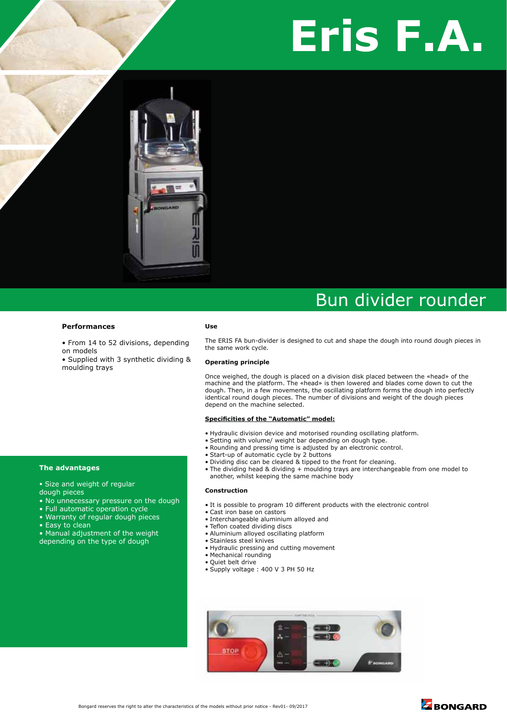# **Eris F.A.**



## Bun divider rounder

#### **Performances**

• From 14 to 52 divisions, depending on models

• Supplied with 3 synthetic dividing & moulding trays

#### **Use**

The ERIS FA bun-divider is designed to cut and shape the dough into round dough pieces in the same work cycle.

#### **Operating principle**

Once weighed, the dough is placed on a division disk placed between the «head» of the machine and the platform. The «head» is then lowered and blades come down to cut the dough. Then, in a few movements, the oscillating platform forms the dough into perfectly identical round dough pieces. The number of divisions and weight of the dough pieces depend on the machine selected.

#### **Specificities of the "Automatic" model:**

- Hydraulic division device and motorised rounding oscillating platform.
- Setting with volume/ weight bar depending on dough type.
- Rounding and pressing time is adjusted by an electronic control.
- Start-up of automatic cycle by 2 buttons
- Dividing disc can be cleared & tipped to the front for cleaning.
- The dividing head & dividing + moulding trays are interchangeable from one model to another, whilst keeping the same machine body

#### **Construction**

- It is possible to program 10 different products with the electronic control
- -Cast iron base on castors
- Interchangeable aluminium alloyed and
- Teflon coated dividing discs
- -Aluminium alloyed oscillating platform
- Stainless steel knives
- -Hydraulic pressing and cutting movement
- -Mechanical rounding
- Quiet belt drive
- Supply voltage: 400 V 3 PH 50 Hz





#### **The advantages**

- Size and weight of regular dough pieces
- No unnecessary pressure on the dough
- Full automatic operation cycle
- Warranty of regular dough pieces
- Easy to clean
- Manual adjustment of the weight
- depending on the type of dough